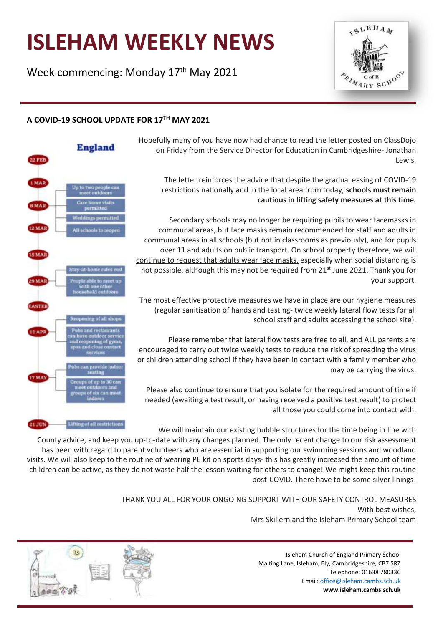# **ISLEHAM WEEKLY NEWS**

Week commencing: Monday 17<sup>th</sup> May 2021





Hopefully many of you have now had chance to read the letter posted on ClassDojo on Friday from the Service Director for Education in Cambridgeshire- Jonathan Lewis.

The letter reinforces the advice that despite the gradual easing of COVID-19 restrictions nationally and in the local area from today, **schools must remain cautious in lifting safety measures at this time.**

 $5L<sub>EH</sub>$ 

ZAZARY SCHOON

Secondary schools may no longer be requiring pupils to wear facemasks in communal areas, but face masks remain recommended for staff and adults in communal areas in all schools (but not in classrooms as previously), and for pupils over 11 and adults on public transport. On school property therefore, we will continue to request that adults wear face masks, especially when social distancing is not possible, although this may not be required from 21<sup>st</sup> June 2021. Thank you for your support.

The most effective protective measures we have in place are our hygiene measures (regular sanitisation of hands and testing- twice weekly lateral flow tests for all school staff and adults accessing the school site).

Please remember that lateral flow tests are free to all, and ALL parents are encouraged to carry out twice weekly tests to reduce the risk of spreading the virus or children attending school if they have been in contact with a family member who may be carrying the virus.

Please also continue to ensure that you isolate for the required amount of time if needed (awaiting a test result, or having received a positive test result) to protect all those you could come into contact with.

We will maintain our existing bubble structures for the time being in line with

County advice, and keep you up-to-date with any changes planned. The only recent change to our risk assessment has been with regard to parent volunteers who are essential in supporting our swimming sessions and woodland visits. We will also keep to the routine of wearing PE kit on sports days- this has greatly increased the amount of time children can be active, as they do not waste half the lesson waiting for others to change! We might keep this routine post-COVID. There have to be some silver linings!

> THANK YOU ALL FOR YOUR ONGOING SUPPORT WITH OUR SAFETY CONTROL MEASURES With best wishes, Mrs Skillern and the Isleham Primary School team

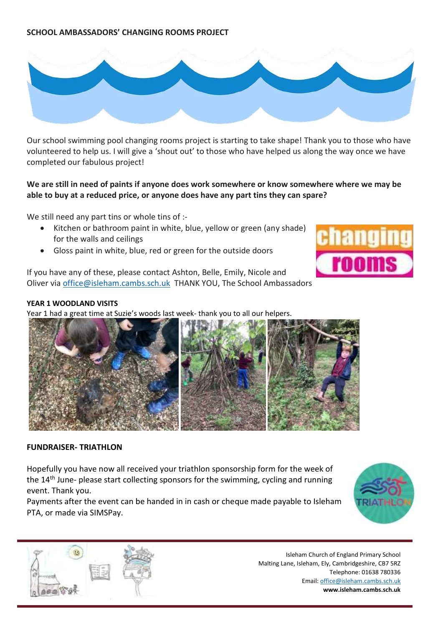# **SCHOOL AMBASSADORS' CHANGING ROOMS PROJECT**



Our school swimming pool changing rooms project is starting to take shape! Thank you to those who have volunteered to help us. I will give a 'shout out' to those who have helped us along the way once we have completed our fabulous project!

# **We are still in need of paints if anyone does work somewhere or know somewhere where we may be able to buy at a reduced price, or anyone does have any part tins they can spare?**

We still need any part tins or whole tins of :-

- Kitchen or bathroom paint in white, blue, yellow or green (any shade) for the walls and ceilings
- Gloss paint in white, blue, red or green for the outside doors

If you have any of these, please contact Ashton, Belle, Emily, Nicole and Oliver via [office@isleham.cambs.sch.uk](mailto:office@isleham.cambs.sch.uk) THANK YOU, The School Ambassadors

#### **YEAR 1 WOODLAND VISITS**

Year 1 had a great time at Suzie's woods last week- thank you to all our helpers.



#### **FUNDRAISER- TRIATHLON**

Hopefully you have now all received your triathlon sponsorship form for the week of the 14<sup>th</sup> June- please start collecting sponsors for the swimming, cycling and running event. Thank you.

Payments after the event can be handed in in cash or cheque made payable to Isleham PTA, or made via SIMSPay.





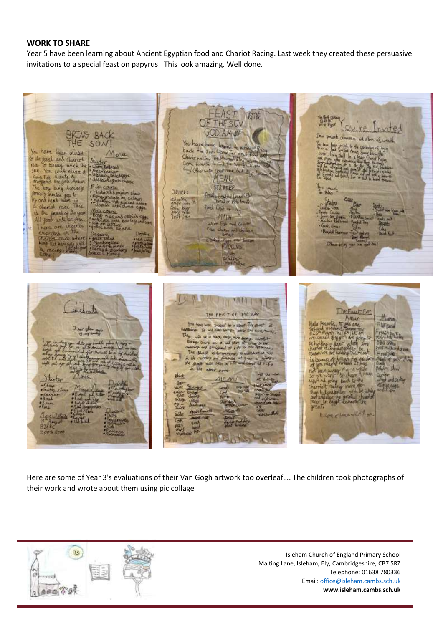#### **WORK TO SHARE**

Year 5 have been learning about Ancient Egyptian food and Chariot Racing. Last week they created these persuasive invitations to a special feast on papyrus. This look amazing. Well done.

**ATR** ovice **ING BAC** ad the You have been layted  $SU$ mated to a<br>fine for an<br>Photosy Eln  $H_{R}$  sun. C back You have been inisted ow Chariot to the past and Chariot The Phy YOU COME MASS OF *Singh Time* **TO-DE AgylCH** erwise your have but it wante to MENU **STARTER** humsely lang **DRINKS** ou to fitally teated bread s you it<br>"high you"<br>race Tilis **Light** rit race Beck trut or ver east of the year MAIN will be free. Fish and car ove ingenes cheque and chicke race uten **PUDCING**  $\frac{1}{2} \frac{1}{2} \frac{1}{2} \frac{1}{2} \frac{1}{2} \frac{1}{2} \frac{1}{2} \frac{1}{2} \frac{1}{2} \frac{1}{2} \frac{1}{2} \frac{1}{2} \frac{1}{2} \frac{1}{2} \frac{1}{2} \frac{1}{2} \frac{1}{2} \frac{1}{2} \frac{1}{2} \frac{1}{2} \frac{1}{2} \frac{1}{2} \frac{1}{2} \frac{1}{2} \frac{1}{2} \frac{1}{2} \frac{1}{2} \frac{1}{2} \frac{1}{2} \frac{1}{2} \frac{1}{2} \frac{$ The 27144 helmte THE FEAT OF THE RAY The Egge Fun **Majo** and to a small the as tar browl **PACKERS** Badily  $that$  of  $id$ is transport **Sill Urry** 1 90 Ma of Twire sten alter now. iar<br><del>ul udlarbu</del> 联邦 K

Here are some of Year 3's evaluations of their Van Gogh artwork too overleaf…. The children took photographs of their work and wrote about them using pic collage

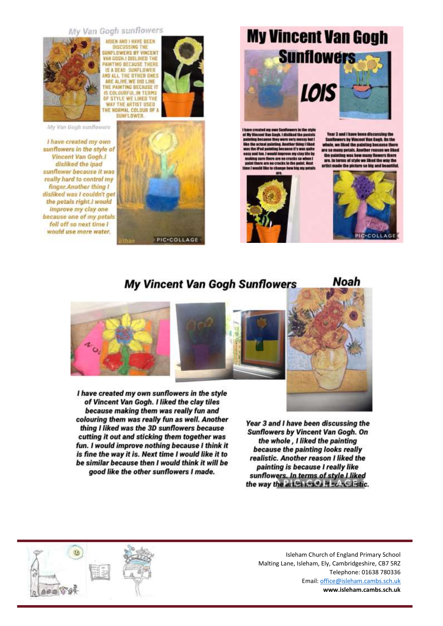#### My Van Gogh sunflowers



NIDEN AND I HAVE BEEN **OISCUSSING THE**<br>SUNFLOWERS BY VINCENT AN GOGH ! DISLINED THE AINTING BECAUSE THERE **IS A DEAD SUNFLOWER**<br>WD ALL THE OTHER DNES ARE ALIVE WE DID LINE **HE PAINTING BECAUSE IT** IS COLOURFUL IN TERMS OF STYLE WE LIKED THE **WAY THE ARTIST USED** THE NORMAL COLOUR OF A **SUNFLOWED** 



I have created my own sunflowers in the style of Vincent Van Gogh.I disliked the ipad sunflower because it was really hard to control my finger.Another thing I disliked was I couldn't get the petals right.I would improve my clay one because one of my petals fell off so next time I would use more water.







on because there the painting was how many flowers there<br>are. In terms of style we liked the way the



**Noah** 

# **My Vincent Van Gogh Sunflowers**



I have created my own sunflowers in the style of Vincent Van Gogh. I liked the clay tiles because making them was really fun and colouring them was really fun as well. Another thing I liked was the 3D sunflowers because cutting it out and sticking them together was fun. I would improve nothing because I think it is fine the way it is. Next time I would like it to be similar because then I would think it will be good like the other sunflowers I made.

Year 3 and I have been discussing the **Sunflowers by Vincent Van Gogh. On** the whole, I liked the painting because the painting looks really realistic. Another reason I liked the painting is because I really like sunflowers. In terms of style I liked the way the artist mada it solved istic.